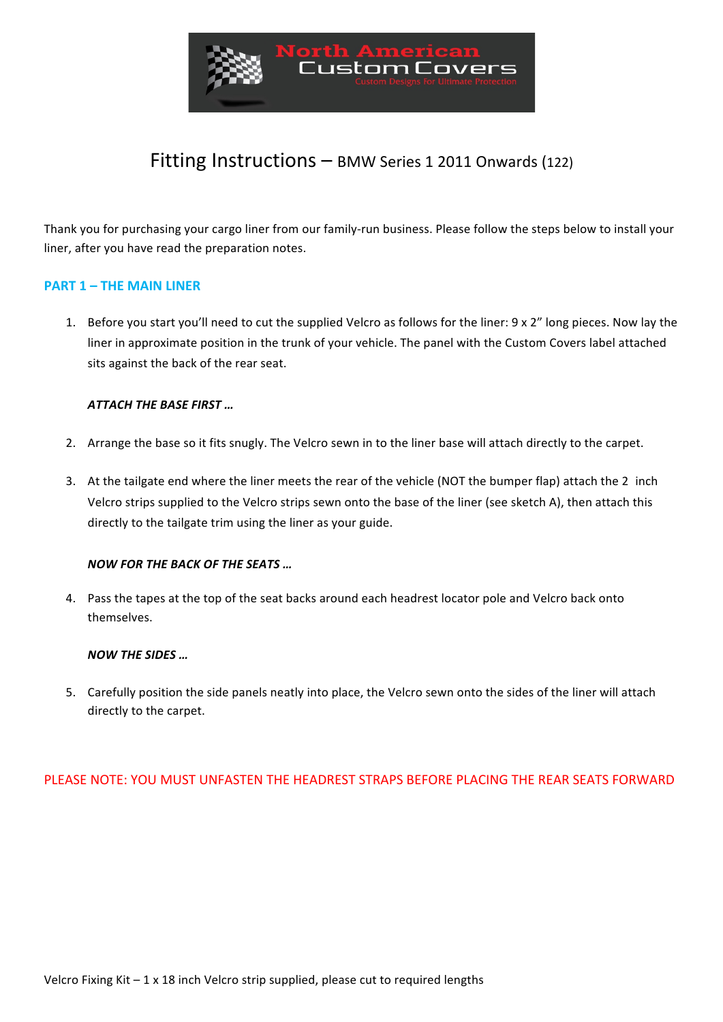

# Fitting Instructions  $-$  BMW Series 1 2011 Onwards (122)

Thank you for purchasing your cargo liner from our family-run business. Please follow the steps below to install your liner, after you have read the preparation notes.

### **PART 1 – THE MAIN LINER**

1. Before you start you'll need to cut the supplied Velcro as follows for the liner: 9 x 2" long pieces. Now lay the liner in approximate position in the trunk of your vehicle. The panel with the Custom Covers label attached sits against the back of the rear seat.

#### **ATTACH THE BASE FIRST ...**

- 2. Arrange the base so it fits snugly. The Velcro sewn in to the liner base will attach directly to the carpet.
- 3. At the tailgate end where the liner meets the rear of the vehicle (NOT the bumper flap) attach the 2 inch Velcro strips supplied to the Velcro strips sewn onto the base of the liner (see sketch A), then attach this directly to the tailgate trim using the liner as your guide.

#### **NOW FOR THE BACK OF THE SEATS ...**

4. Pass the tapes at the top of the seat backs around each headrest locator pole and Velcro back onto themselves.

#### **NOW THE SIDES** ...

5. Carefully position the side panels neatly into place, the Velcro sewn onto the sides of the liner will attach directly to the carpet.

## PLEASE NOTE: YOU MUST UNFASTEN THE HEADREST STRAPS BEFORE PLACING THE REAR SEATS FORWARD